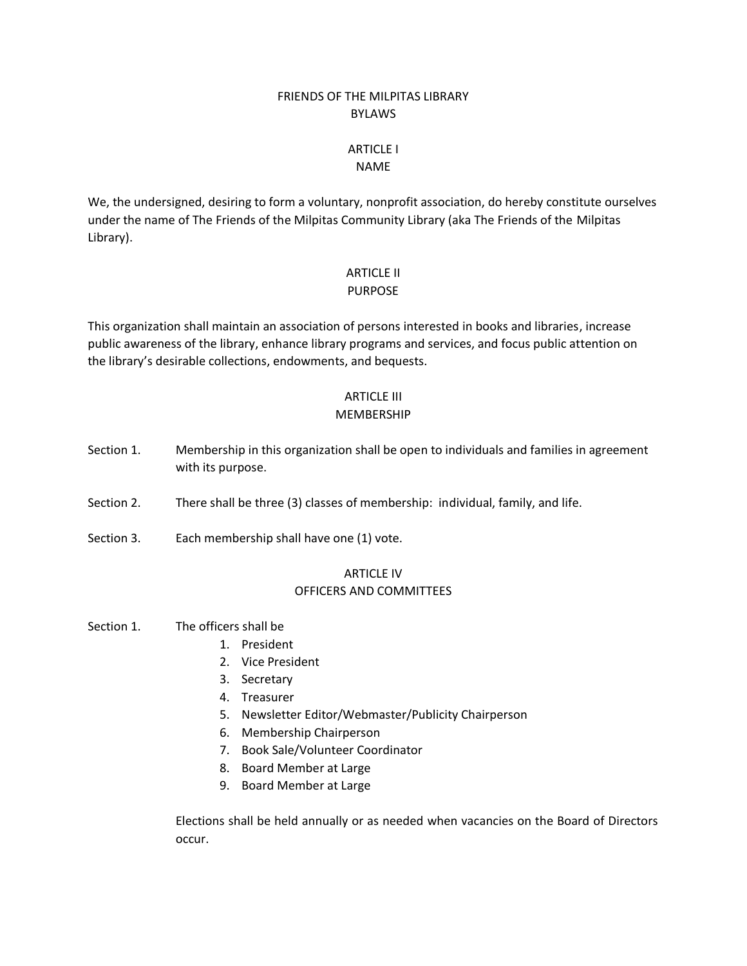#### FRIENDS OF THE MILPITAS LIBRARY BYLAWS

#### ARTICLE I NAME

We, the undersigned, desiring to form a voluntary, nonprofit association, do hereby constitute ourselves under the name of The Friends of the Milpitas Community Library (aka The Friends of the Milpitas Library).

## ARTICLE II

#### PURPOSE

This organization shall maintain an association of persons interested in books and libraries, increase public awareness of the library, enhance library programs and services, and focus public attention on the library's desirable collections, endowments, and bequests.

# ARTICLE III

### MEMBERSHIP

- Section 1. Membership in this organization shall be open to individuals and families in agreement with its purpose.
- Section 2. There shall be three (3) classes of membership: individual, family, and life.
- Section 3. Each membership shall have one (1) vote.

#### ARTICLE IV OFFICERS AND COMMITTEES

- Section 1. The officers shall be
	- 1. President
	- 2. Vice President
	- 3. Secretary
	- 4. Treasurer
	- 5. Newsletter Editor/Webmaster/Publicity Chairperson
	- 6. Membership Chairperson
	- 7. Book Sale/Volunteer Coordinator
	- 8. Board Member at Large
	- 9. Board Member at Large

Elections shall be held annually or as needed when vacancies on the Board of Directors occur.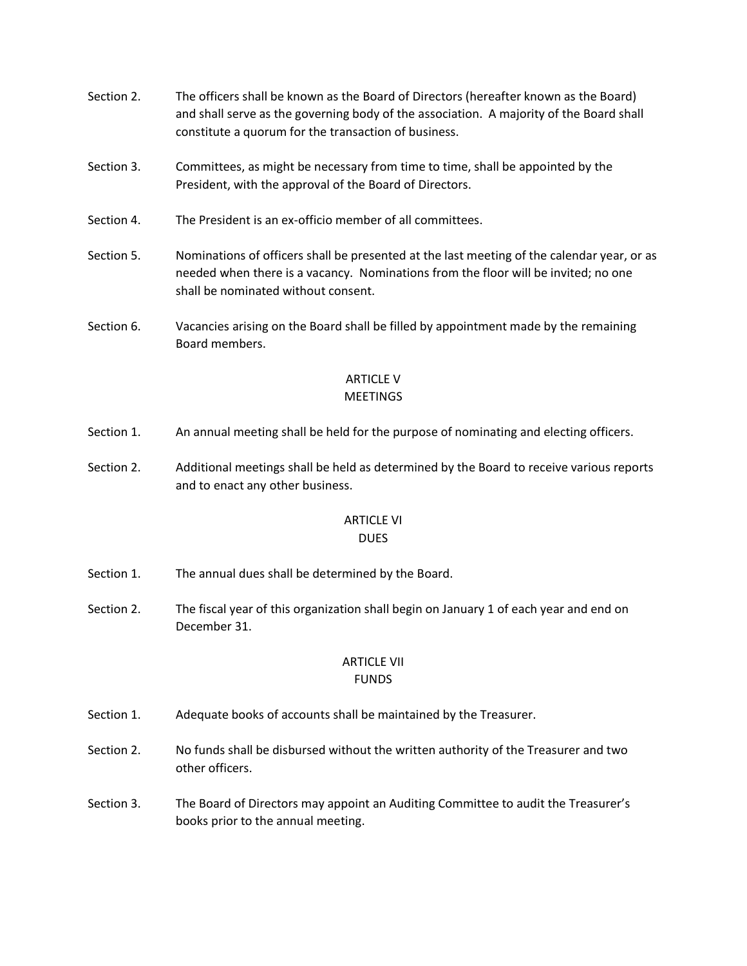- Section 2. The officers shall be known as the Board of Directors (hereafter known as the Board) and shall serve as the governing body of the association. A majority of the Board shall constitute a quorum for the transaction of business.
- Section 3. Committees, as might be necessary from time to time, shall be appointed by the President, with the approval of the Board of Directors.
- Section 4. The President is an ex-officio member of all committees.
- Section 5. Nominations of officers shall be presented at the last meeting of the calendar year, or as needed when there is a vacancy. Nominations from the floor will be invited; no one shall be nominated without consent.
- Section 6. Vacancies arising on the Board shall be filled by appointment made by the remaining Board members.

# ARTICLE V

#### **MEETINGS**

- Section 1. An annual meeting shall be held for the purpose of nominating and electing officers.
- Section 2. Additional meetings shall be held as determined by the Board to receive various reports and to enact any other business.

#### ARTICLE VI **DUES**

- Section 1. The annual dues shall be determined by the Board.
- Section 2. The fiscal year of this organization shall begin on January 1 of each year and end on December 31.

#### ARTICLE VII FUNDS

- Section 1. Adequate books of accounts shall be maintained by the Treasurer.
- Section 2. No funds shall be disbursed without the written authority of the Treasurer and two other officers.
- Section 3. The Board of Directors may appoint an Auditing Committee to audit the Treasurer's books prior to the annual meeting.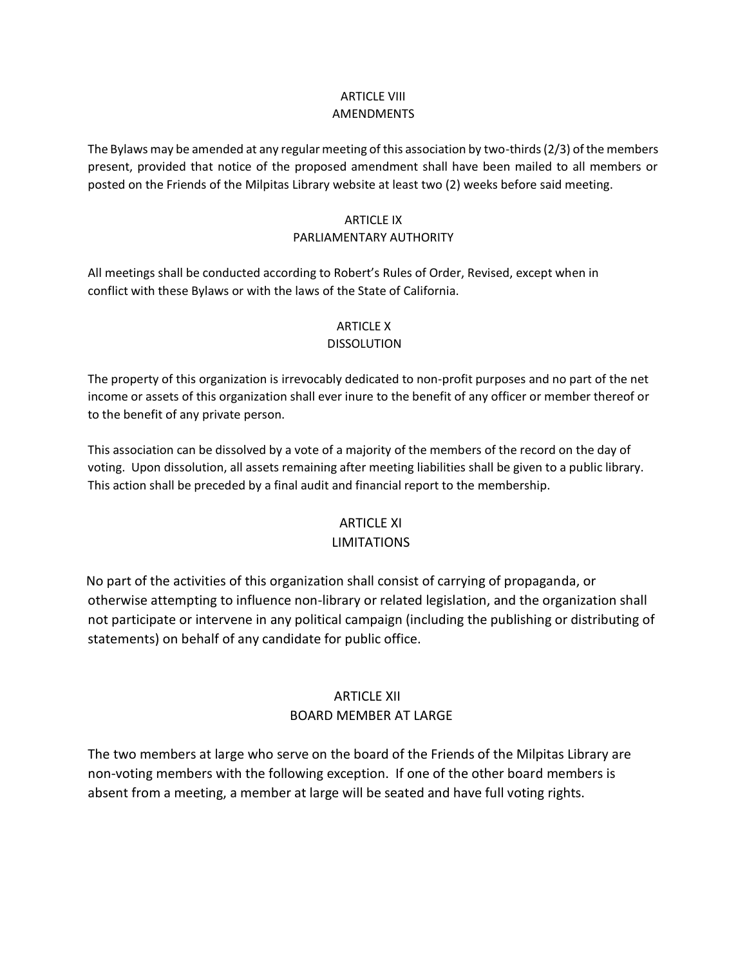#### ARTICLE VIII AMENDMENTS

 The Bylaws may be amended at any regular meeting of this association by two-thirds (2/3) of the members present, provided that notice of the proposed amendment shall have been mailed to all members or posted on the Friends of the Milpitas Library website at least two (2) weeks before said meeting.

#### ARTICLE IX

#### PARLIAMENTARY AUTHORITY

 All meetings shall be conducted according to Robert's Rules of Order, Revised, except when in conflict with these Bylaws or with the laws of the State of California.

#### ARTICLE X

#### DISSOLUTION

 The property of this organization is irrevocably dedicated to non-profit purposes and no part of the net income or assets of this organization shall ever inure to the benefit of any officer or member thereof or to the benefit of any private person.

This association can be dissolved by a vote of a majority of the members of the record on the day of voting. Upon dissolution, all assets remaining after meeting liabilities shall be given to a public library. This action shall be preceded by a final audit and financial report to the membership.

#### ARTICLE XI

#### LIMITATIONS

 No part of the activities of this organization shall consist of carrying of propaganda, or otherwise attempting to influence non-library or related legislation, and the organization shall not participate or intervene in any political campaign (including the publishing or distributing of statements) on behalf of any candidate for public office.

### ARTICLE XII BOARD MEMBER AT LARGE

The two members at large who serve on the board of the Friends of the Milpitas Library are non-voting members with the following exception. If one of the other board members is absent from a meeting, a member at large will be seated and have full voting rights.